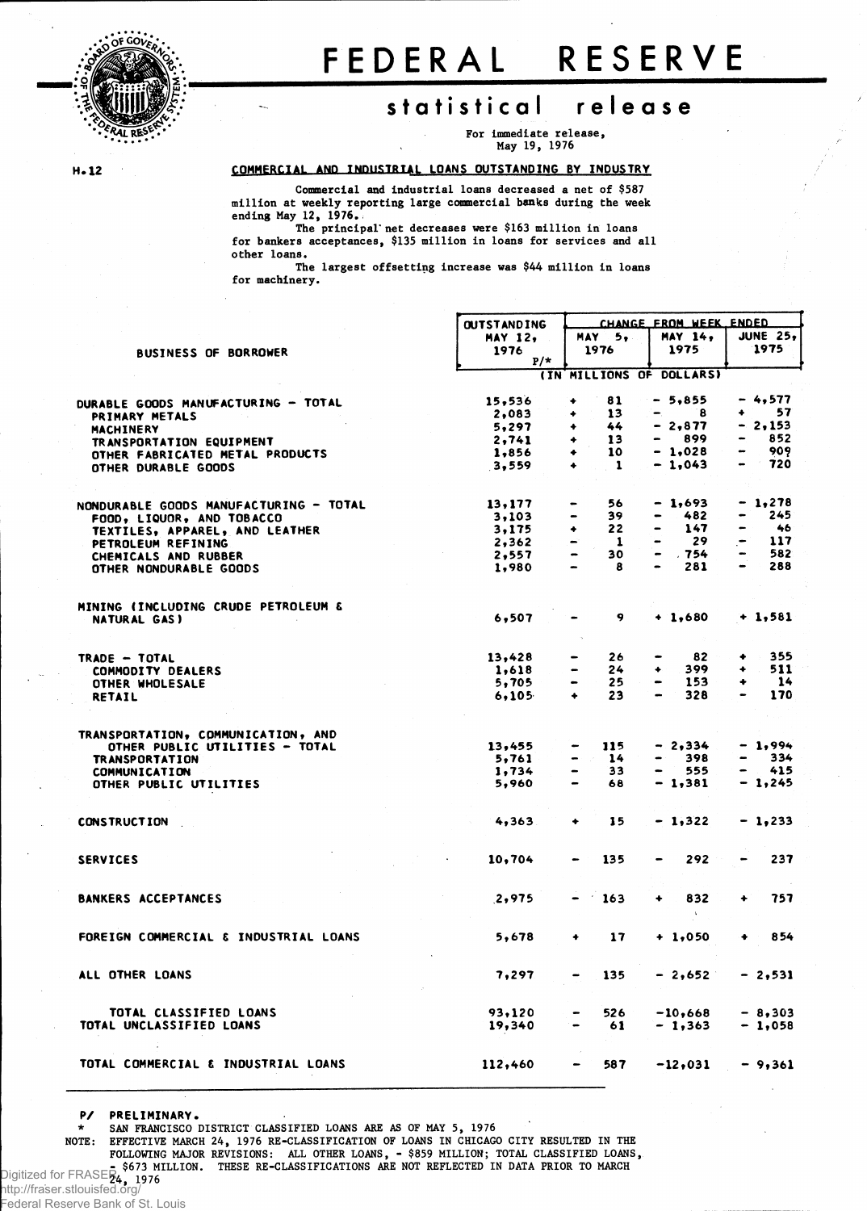

## FEDERA L RESERV E

## **statistica l releas e**

**For immediate release, May 19, 1976**

 $H - 12$ 

**EQMHERCIA1 ANn TNnifSTRTAf, LOANS OUTSTANDING BY INDUSTRY**

**Commercial and industrial loans decreased a net of \$587 million at weekly reporting large commercial banks during the week ending May 12, 1976.**

**The principal' net decreases were \$163 million in loans for bankers acceptances, \$135 million in loans for services and all other loans.**

**The largest offsetting increase was \$44 million in loans for machinery.**

|                                        | <b>OUTSTANDING</b> | CHANGE FROM WEEK ENDED             |                                                                                                                                                          |                 |  |  |  |
|----------------------------------------|--------------------|------------------------------------|----------------------------------------------------------------------------------------------------------------------------------------------------------|-----------------|--|--|--|
|                                        | <b>MAY 12,</b>     | <b>MAY</b><br>5.                   | <b>MAY 14.</b>                                                                                                                                           | <b>JUNE 25,</b> |  |  |  |
| <b>BUSINESS OF BORROWER</b>            | 1976               | 1976                               | 1975                                                                                                                                                     | 1975            |  |  |  |
|                                        | $P/*$              |                                    |                                                                                                                                                          |                 |  |  |  |
|                                        |                    | (IN MILLIONS OF DOLLARS)           |                                                                                                                                                          |                 |  |  |  |
| DURABLE GOODS MANUFACTURING - TOTAL    | 15,536             | 81<br>٠                            | $-5,855$                                                                                                                                                 | - 4,577         |  |  |  |
| PRIMARY METALS                         | 2,083              | 13<br>۰                            | 8<br>−.                                                                                                                                                  | 57<br>٠.        |  |  |  |
| MACHINERY                              | 5.297              | 44<br>۰                            | $-2,877$                                                                                                                                                 | - 2,153         |  |  |  |
| TRANSPORTATION EQUIPMENT               | 2,741              | 13<br>۰                            | 899<br>$\hskip1.6pt\hskip1.6pt\hskip1.6pt\hskip1.6pt\hskip1.6pt\hskip1.6pt\hskip1.6pt\hskip1.6pt\hskip1.6pt\hskip1.6pt\hskip1.6pt\hskip1.6pt\hskip1.6pt$ | 852             |  |  |  |
| OTHER FABRICATED METAL PRODUCTS        | 1,856              | 10<br>٠                            | $-1,028$                                                                                                                                                 | 909             |  |  |  |
| OTHER DURABLE GOODS                    | 3,559              | -1<br>٠                            | $-1,043$                                                                                                                                                 | 720             |  |  |  |
|                                        |                    |                                    |                                                                                                                                                          |                 |  |  |  |
|                                        | 13,177             | 56<br>$\qquad \qquad \blacksquare$ | $-1,693$                                                                                                                                                 | $-1,278$        |  |  |  |
| NONDURABLE GOODS MANUFACTURING - TOTAL | 3,103              | 39                                 | 482                                                                                                                                                      | 245             |  |  |  |
| FOOD, LIQUOR, AND TOBACCO              | 3,175              | 22<br>۰                            | 147                                                                                                                                                      | 46<br>-         |  |  |  |
| TEXTILES, APPAREL, AND LEATHER         | 2,362              | -1<br>-                            | 29                                                                                                                                                       | 117             |  |  |  |
| PETROLEUM REFINING                     | 2,557              | 30<br>$\blacksquare$               | $\bullet$<br>. 754                                                                                                                                       | 582             |  |  |  |
| CHEMICALS AND RUBBER                   | 1,980              | 8<br>$\bullet$                     | 281                                                                                                                                                      | 288             |  |  |  |
| OTHER NONDURABLE GOODS                 |                    |                                    |                                                                                                                                                          |                 |  |  |  |
| MINING (INCLUDING CRUDE PETROLEUM &    |                    |                                    |                                                                                                                                                          |                 |  |  |  |
| NATURAL GAS)                           | 6,507              | 9                                  | $+ 1,680$                                                                                                                                                | $+1,581$        |  |  |  |
|                                        |                    |                                    |                                                                                                                                                          |                 |  |  |  |
| TRADE - TOTAL                          | 13,428             | 26                                 | 82                                                                                                                                                       | 355<br>٠        |  |  |  |
| COMMODITY DEALERS                      | 1,618              | 24                                 | 399<br>۰                                                                                                                                                 | 511<br>۰        |  |  |  |
| OTHER WHOLESALE                        | 5,705              | 25                                 | 153<br>$\bullet$                                                                                                                                         | 14<br>۰         |  |  |  |
| <b>RETAIL</b>                          | 6.105              | 23<br>٠                            | 328<br>$\overline{\phantom{0}}$                                                                                                                          | 170<br>-        |  |  |  |
|                                        |                    |                                    |                                                                                                                                                          |                 |  |  |  |
| TRANSPORTATION, COMMUNICATION, AND     |                    |                                    |                                                                                                                                                          |                 |  |  |  |
| OTHER PUBLIC UTILITIES - TOTAL         | 13,455             | 115                                | - 2,334                                                                                                                                                  | $-1,994$        |  |  |  |
| <b>TRANSPORTATION</b>                  | 5,761              | 14                                 | 398<br>$\qquad \qquad \blacksquare$                                                                                                                      | 334             |  |  |  |
| <b>COMMUNICATION</b>                   | 1,734              | 33                                 | 555                                                                                                                                                      | 415             |  |  |  |
| OTHER PUBLIC UTILITIES                 | 5,960              | 68                                 | $-1,381$                                                                                                                                                 | $-1,245$        |  |  |  |
|                                        |                    |                                    |                                                                                                                                                          |                 |  |  |  |
| <b>CONSTRUCTION</b>                    | 4,363              | 15<br>۰                            | $-1,322$                                                                                                                                                 | $-1,233$        |  |  |  |
|                                        |                    |                                    |                                                                                                                                                          |                 |  |  |  |
| <b>SERVICES</b>                        | 10,704             | 135                                | 292                                                                                                                                                      | 237             |  |  |  |
|                                        |                    |                                    |                                                                                                                                                          |                 |  |  |  |
| <b>BANKERS ACCEPTANCES</b>             | 2,975              | 163                                | 832<br>۰                                                                                                                                                 | 757             |  |  |  |
|                                        |                    |                                    |                                                                                                                                                          |                 |  |  |  |
| FOREIGN COMMERCIAL & INDUSTRIAL LOANS  | 5,678              | 17<br>۰                            | $+1,050$                                                                                                                                                 | 854             |  |  |  |
| ALL OTHER LOANS                        | 7,297              | 135                                | $-2,652$                                                                                                                                                 | $-2,531$        |  |  |  |
|                                        |                    |                                    |                                                                                                                                                          |                 |  |  |  |
| TOTAL CLASSIFIED LOANS                 | 93,120             | 526<br>$\qquad \qquad$             | $-10,668$                                                                                                                                                | $-8,303$        |  |  |  |
| TOTAL UNCLASSIFIED LOANS               | 19,340             | 61                                 | $-1,363$                                                                                                                                                 | $-1,058$        |  |  |  |
|                                        |                    |                                    |                                                                                                                                                          |                 |  |  |  |
| TOTAL COMMERCIAL & INDUSTRIAL LOANS    | 112,460            | 587<br>$\bullet$                   | $-12,031$                                                                                                                                                | $-9,361$        |  |  |  |
|                                        |                    |                                    |                                                                                                                                                          |                 |  |  |  |

**P/ PRELIMINARY.**

**\* SAN FRANCISCO DISTRICT CLASSIFIED LOANS ARE AS OF MAY 5, 1976 NOTE: EFFECTIVE MARCH 24, 1976 RE-CLASSIFICATION OF LOANS IN CHICAGO CITY RESULTED IN THE FOLLOWING MAJOR REVISIONS: ALL OTHER LOANS, - \$859 MILLION; TOTAL CLASSIFIED LOANS, - \$673 MILLION. THESE RE-CLASSIFICATIONS ARE NOT REFLECTED IN DATA PRIOR TO MARCH** Digitized **24, <sup>1976</sup>** for FRASER

http://fraser.stlouisfed.org/

Federal Reserve Bank of St. Louis